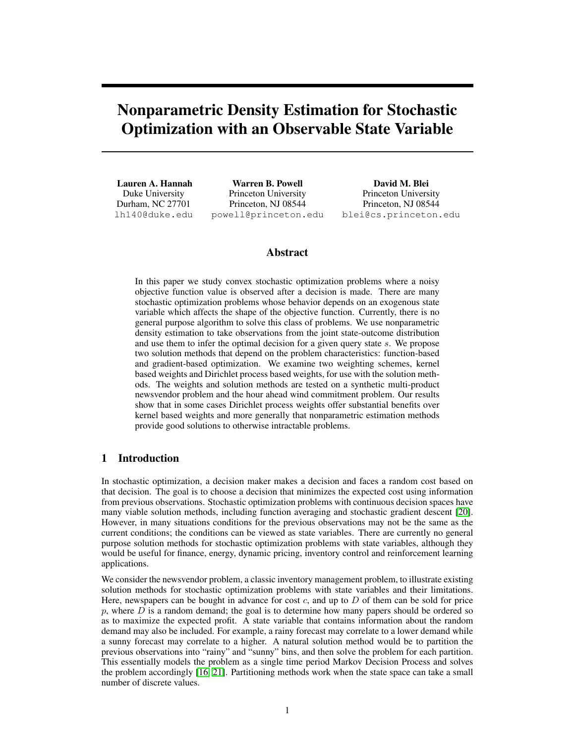# Nonparametric Density Estimation for Stochastic Optimization with an Observable State Variable

Lauren A. Hannah Duke University Durham, NC 27701 lh140@duke.edu

Warren B. Powell Princeton University Princeton, NJ 08544 powell@princeton.edu

David M. Blei Princeton University Princeton, NJ 08544 blei@cs.princeton.edu

# Abstract

In this paper we study convex stochastic optimization problems where a noisy objective function value is observed after a decision is made. There are many stochastic optimization problems whose behavior depends on an exogenous state variable which affects the shape of the objective function. Currently, there is no general purpose algorithm to solve this class of problems. We use nonparametric density estimation to take observations from the joint state-outcome distribution and use them to infer the optimal decision for a given query state s. We propose two solution methods that depend on the problem characteristics: function-based and gradient-based optimization. We examine two weighting schemes, kernel based weights and Dirichlet process based weights, for use with the solution methods. The weights and solution methods are tested on a synthetic multi-product newsvendor problem and the hour ahead wind commitment problem. Our results show that in some cases Dirichlet process weights offer substantial benefits over kernel based weights and more generally that nonparametric estimation methods provide good solutions to otherwise intractable problems.

# 1 Introduction

In stochastic optimization, a decision maker makes a decision and faces a random cost based on that decision. The goal is to choose a decision that minimizes the expected cost using information from previous observations. Stochastic optimization problems with continuous decision spaces have many viable solution methods, including function averaging and stochastic gradient descent [20]. However, in many situations conditions for the previous observations may not be the same as the current conditions; the conditions can be viewed as state variables. There are currently no general purpose solution methods for stochastic optimization problems with state variables, although they would be useful for finance, energy, dynamic pricing, inventory control and reinforcement learning applications.

We consider the newsvendor problem, a classic inventory management problem, to illustrate existing solution methods for stochastic optimization problems with state variables and their limitations. Here, newspapers can be bought in advance for cost  $c$ , and up to  $D$  of them can be sold for price p, where  $D$  is a random demand; the goal is to determine how many papers should be ordered so as to maximize the expected profit. A state variable that contains information about the random demand may also be included. For example, a rainy forecast may correlate to a lower demand while a sunny forecast may correlate to a higher. A natural solution method would be to partition the previous observations into "rainy" and "sunny" bins, and then solve the problem for each partition. This essentially models the problem as a single time period Markov Decision Process and solves the problem accordingly [16, 21]. Partitioning methods work when the state space can take a small number of discrete values.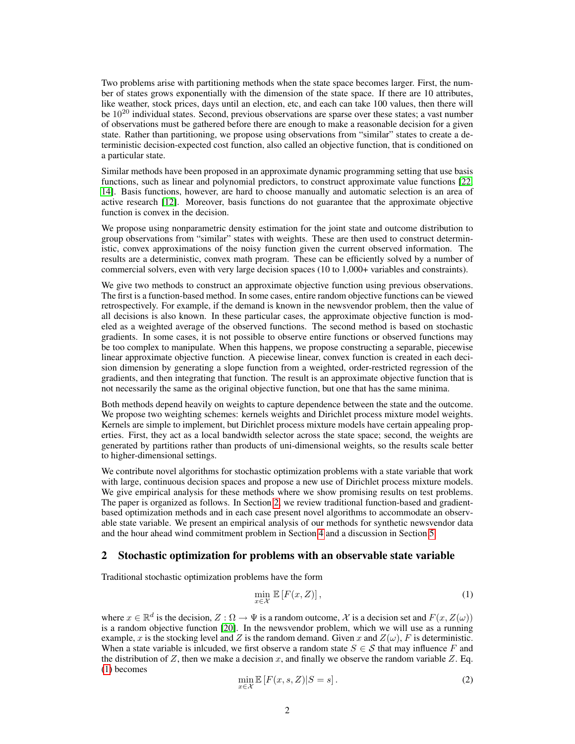Two problems arise with partitioning methods when the state space becomes larger. First, the number of states grows exponentially with the dimension of the state space. If there are 10 attributes, like weather, stock prices, days until an election, etc, and each can take 100 values, then there will be  $10^{20}$  individual states. Second, previous observations are sparse over these states; a vast number of observations must be gathered before there are enough to make a reasonable decision for a given state. Rather than partitioning, we propose using observations from "similar" states to create a deterministic decision-expected cost function, also called an objective function, that is conditioned on a particular state.

Similar methods have been proposed in an approximate dynamic programming setting that use basis functions, such as linear and polynomial predictors, to construct approximate value functions [22, 14]. Basis functions, however, are hard to choose manually and automatic selection is an area of active research [12]. Moreover, basis functions do not guarantee that the approximate objective function is convex in the decision.

We propose using nonparametric density estimation for the joint state and outcome distribution to group observations from "similar" states with weights. These are then used to construct deterministic, convex approximations of the noisy function given the current observed information. The results are a deterministic, convex math program. These can be efficiently solved by a number of commercial solvers, even with very large decision spaces (10 to 1,000+ variables and constraints).

We give two methods to construct an approximate objective function using previous observations. The first is a function-based method. In some cases, entire random objective functions can be viewed retrospectively. For example, if the demand is known in the newsvendor problem, then the value of all decisions is also known. In these particular cases, the approximate objective function is modeled as a weighted average of the observed functions. The second method is based on stochastic gradients. In some cases, it is not possible to observe entire functions or observed functions may be too complex to manipulate. When this happens, we propose constructing a separable, piecewise linear approximate objective function. A piecewise linear, convex function is created in each decision dimension by generating a slope function from a weighted, order-restricted regression of the gradients, and then integrating that function. The result is an approximate objective function that is not necessarily the same as the original objective function, but one that has the same minima.

Both methods depend heavily on weights to capture dependence between the state and the outcome. We propose two weighting schemes: kernels weights and Dirichlet process mixture model weights. Kernels are simple to implement, but Dirichlet process mixture models have certain appealing properties. First, they act as a local bandwidth selector across the state space; second, the weights are generated by partitions rather than products of uni-dimensional weights, so the results scale better to higher-dimensional settings.

We contribute novel algorithms for stochastic optimization problems with a state variable that work with large, continuous decision spaces and propose a new use of Dirichlet process mixture models. We give empirical analysis for these methods where we show promising results on test problems. The paper is organized as follows. In Section 2, we review traditional function-based and gradientbased optimization methods and in each case present novel algorithms to accommodate an observable state variable. We present an empirical analysis of our methods for synthetic newsvendor data and the hour ahead wind commitment problem in Section 4 and a discussion in Section 5.

## 2 Stochastic optimization for problems with an observable state variable

Traditional stochastic optimization problems have the form

$$
\min_{x \in \mathcal{X}} \mathbb{E}\left[F(x, Z)\right],\tag{1}
$$

where  $x \in \mathbb{R}^d$  is the decision,  $Z : \Omega \to \Psi$  is a random outcome, X is a decision set and  $F(x, Z(\omega))$ is a random objective function [20]. In the newsvendor problem, which we will use as a running example, x is the stocking level and Z is the random demand. Given x and  $Z(\omega)$ , F is deterministic. When a state variable is inlcuded, we first observe a random state  $S \in \mathcal{S}$  that may influence F and the distribution of Z, then we make a decision x, and finally we observe the random variable Z. Eq. (1) becomes

$$
\min_{x \in \mathcal{X}} \mathbb{E}\left[F(x, s, Z)|S = s\right].\tag{2}
$$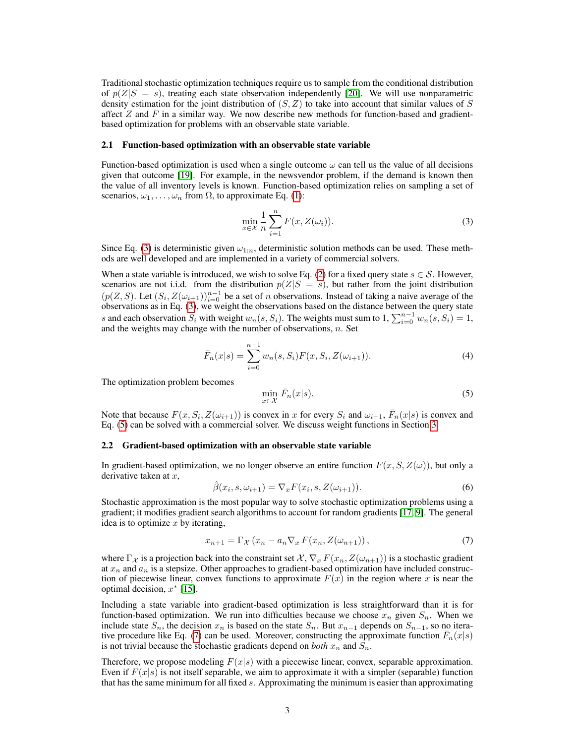Traditional stochastic optimization techniques require us to sample from the conditional distribution of  $p(Z|S = s)$ , treating each state observation independently [20]. We will use nonparametric density estimation for the joint distribution of  $(S, Z)$  to take into account that similar values of S affect  $Z$  and  $F$  in a similar way. We now describe new methods for function-based and gradientbased optimization for problems with an observable state variable.

#### 2.1 Function-based optimization with an observable state variable

Function-based optimization is used when a single outcome  $\omega$  can tell us the value of all decisions given that outcome [19]. For example, in the newsvendor problem, if the demand is known then the value of all inventory levels is known. Function-based optimization relies on sampling a set of scenarios,  $\omega_1, \ldots, \omega_n$  from  $\Omega$ , to approximate Eq. (1):

$$
\min_{x \in \mathcal{X}} \frac{1}{n} \sum_{i=1}^{n} F(x, Z(\omega_i)).
$$
\n(3)

Since Eq. (3) is deterministic given  $\omega_{1:n}$ , deterministic solution methods can be used. These methods are well developed and are implemented in a variety of commercial solvers.

When a state variable is introduced, we wish to solve Eq. (2) for a fixed query state  $s \in \mathcal{S}$ . However, scenarios are not i.i.d. from the distribution  $p(Z|S = s)$ , but rather from the joint distribution  $(p(Z, S)$ . Let  $(S_i, Z(\omega_{i+1}))_{i=0}^{n-1}$  be a set of *n* observations. Instead of taking a naive average of the observations as in Eq. (3), we weight the observations based on the distance between the query state s and each observation  $S_i$  with weight  $w_n(s, S_i)$ . The weights must sum to  $1, \sum_{i=0}^{n-1} w_n(s, S_i) = 1$ , and the weights may change with the number of observations,  $n$ . Set

$$
\bar{F}_n(x|s) = \sum_{i=0}^{n-1} w_n(s, S_i) F(x, S_i, Z(\omega_{i+1})).
$$
\n(4)

The optimization problem becomes

$$
\min_{x \in \mathcal{X}} \bar{F}_n(x|s). \tag{5}
$$

Note that because  $F(x, S_i, Z(\omega_{i+1}))$  is convex in x for every  $S_i$  and  $\omega_{i+1}$ ,  $\bar{F}_n(x|s)$  is convex and Eq. (5) can be solved with a commercial solver. We discuss weight functions in Section 3.

#### 2.2 Gradient-based optimization with an observable state variable

In gradient-based optimization, we no longer observe an entire function  $F(x, S, Z(\omega))$ , but only a derivative taken at  $x$ ,

$$
\hat{\beta}(x_i, s, \omega_{i+1}) = \nabla_x F(x_i, s, Z(\omega_{i+1})).
$$
\n(6)

Stochastic approximation is the most popular way to solve stochastic optimization problems using a gradient; it modifies gradient search algorithms to account for random gradients [17, 9]. The general idea is to optimize  $x$  by iterating,

$$
x_{n+1} = \Gamma_{\mathcal{X}} \left( x_n - a_n \nabla_x F(x_n, Z(\omega_{n+1})) \right), \tag{7}
$$

where  $\Gamma_{\mathcal{X}}$  is a projection back into the constraint set  $\mathcal{X}, \nabla_x F(x_n, Z(\omega_{n+1}))$  is a stochastic gradient at  $x_n$  and  $a_n$  is a stepsize. Other approaches to gradient-based optimization have included construction of piecewise linear, convex functions to approximate  $F(x)$  in the region where x is near the optimal decision,  $x^*$  [15].

Including a state variable into gradient-based optimization is less straightforward than it is for function-based optimization. We run into difficulties because we choose  $x_n$  given  $S_n$ . When we include state  $S_n$ , the decision  $x_n$  is based on the state  $S_n$ . But  $x_{n-1}$  depends on  $S_{n-1}$ , so no iterative procedure like Eq. (7) can be used. Moreover, constructing the approximate function  $\bar{F}_n(x|s)$ is not trivial because the stochastic gradients depend on *both*  $x_n$  and  $S_n$ .

Therefore, we propose modeling  $F(x|s)$  with a piecewise linear, convex, separable approximation. Even if  $F(x|s)$  is not itself separable, we aim to approximate it with a simpler (separable) function that has the same minimum for all fixed s. Approximating the minimum is easier than approximating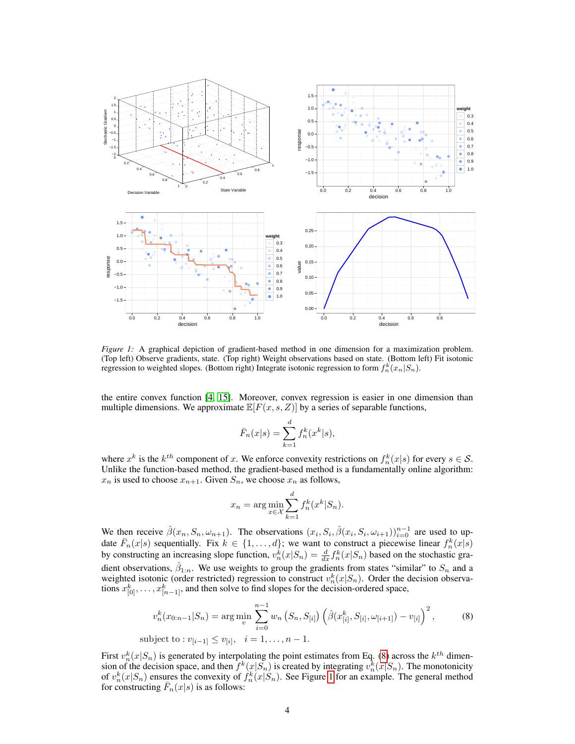

*Figure 1:* A graphical depiction of gradient-based method in one dimension for a maximization problem. (Top left) Observe gradients, state. (Top right) Weight observations based on state. (Bottom left) Fit isotonic regression to weighted slopes. (Bottom right) Integrate isotonic regression to form  $f_n^k(x_n|S_n)$ .

the entire convex function [4, 15]. Moreover, convex regression is easier in one dimension than multiple dimensions. We approximate  $\mathbb{E}[F(x, s, Z)]$  by a series of separable functions,

$$
\bar{F}_n(x|s) = \sum_{k=1}^d f_n^k(x^k|s),
$$

where  $x^k$  is the  $k^{th}$  component of x. We enforce convexity restrictions on  $f_n^k(x|s)$  for every  $s \in \mathcal{S}$ . Unlike the function-based method, the gradient-based method is a fundamentally online algorithm:  $x_n$  is used to choose  $x_{n+1}$ . Given  $S_n$ , we choose  $x_n$  as follows,

$$
x_n = \arg\min_{x \in \mathcal{X}} \sum_{k=1}^d f_n^k(x^k | S_n).
$$

We then receive  $\hat{\beta}(x_n, S_n, \omega_{n+1})$ . The observations  $(x_i, S_i, \hat{\beta}(x_i, S_i, \omega_{i+1}))_{i=0}^{n-1}$  are used to update  $\bar{F}_n(x|s)$  sequentially. Fix  $k \in \{1, ..., d\}$ ; we want to construct a piecewise linear  $f_n^k(x|s)$ by constructing an increasing slope function,  $v_n^k(x|S_n) = \frac{d}{dx} f_n^k(x|S_n)$  based on the stochastic gradient observations,  $\hat{\beta}_{1:n}$ . We use weights to group the gradients from states "similar" to  $S_n$  and a weighted isotonic (order restricted) regression to construct  $v_n^k(x|S_n)$ . Order the decision observations  $x_{[0]}^k, \ldots, x_{[n-1]}^k$ , and then solve to find slopes for the decision-ordered space,

$$
v_n^k(x_{0:n-1}|S_n) = \arg\min_{v} \sum_{i=0}^{n-1} w_n(S_n, S_{[i]}) \left(\hat{\beta}(x_{[i]}^k, S_{[i]}, \omega_{[i+1]}) - v_{[i]}\right)^2, \tag{8}
$$
  
subject to :  $v_{[i-1]} \le v_{[i]}, \quad i = 1, ..., n-1.$ 

First  $v_n^k(x|S_n)$  is generated by interpolating the point estimates from Eq. (8) across the  $k^{th}$  dimension of the decision space, and then  $f^k(x|S_n)$  is created by integrating  $v_n^k(x|S_n)$ . The monotonicity of  $v_n^k(x|S_n)$  ensures the convexity of  $f_n^k(x|S_n)$ . See Figure 1 for an example. The general method for constructing  $\bar{F}_n(x|s)$  is as follows: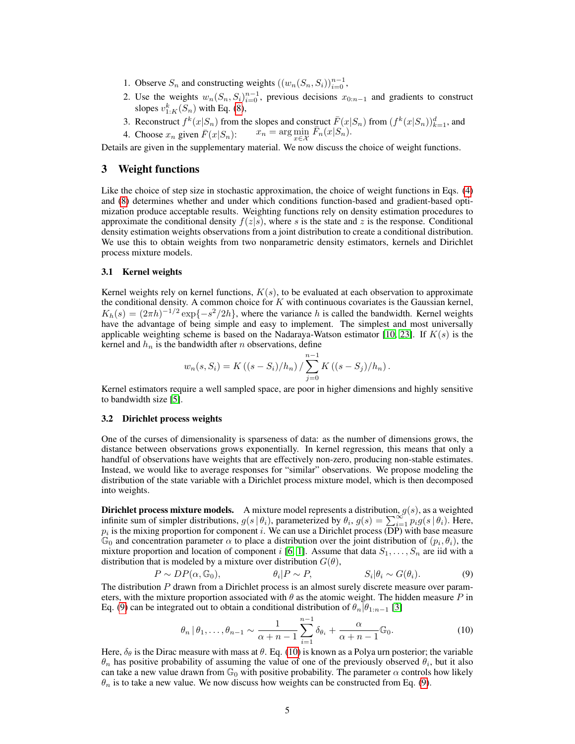- 1. Observe  $S_n$  and constructing weights  $((w_n(S_n, S_i))_{i=0}^{n-1},$
- 2. Use the weights  $w_n(S_n, S_i)_{i=0}^{n-1}$ , previous decisions  $x_{0:n-1}$  and gradients to construct slopes  $v_{1:K}^k(S_n)$  with Eq. (8),
- 3. Reconstruct  $f^k(x|S_n)$  from the slopes and construct  $\bar{F}(x|S_n)$  from  $(f^k(x|S_n))_{k=1}^d$ , and 4. Choose  $x_n$  given  $\overline{F}(x|S_n)$ :  $x_n = \arg \min_{x \in \mathcal{X}} \overline{F}_n(x|S_n)$ .  $x_n = \arg\min_{x \in \mathcal{X}} \bar{F}_n(x|S_n).$
- 

Details are given in the supplementary material. We now discuss the choice of weight functions.

## 3 Weight functions

Like the choice of step size in stochastic approximation, the choice of weight functions in Eqs. (4) and (8) determines whether and under which conditions function-based and gradient-based optimization produce acceptable results. Weighting functions rely on density estimation procedures to approximate the conditional density  $f(z|s)$ , where s is the state and z is the response. Conditional density estimation weights observations from a joint distribution to create a conditional distribution. We use this to obtain weights from two nonparametric density estimators, kernels and Dirichlet process mixture models.

### 3.1 Kernel weights

Kernel weights rely on kernel functions,  $K(s)$ , to be evaluated at each observation to approximate the conditional density. A common choice for  $K$  with continuous covariates is the Gaussian kernel,  $K_h(s) = (2\pi h)^{-1/2} \exp\{-s^2/2h\}$ , where the variance h is called the bandwidth. Kernel weights have the advantage of being simple and easy to implement. The simplest and most universally applicable weighting scheme is based on the Nadaraya-Watson estimator [10, 23]. If  $K(s)$  is the kernel and  $h_n$  is the bandwidth after n observations, define

$$
w_n(s, S_i) = K((s - S_i)/h_n) / \sum_{j=0}^{n-1} K((s - S_j)/h_n).
$$

Kernel estimators require a well sampled space, are poor in higher dimensions and highly sensitive to bandwidth size [5].

### 3.2 Dirichlet process weights

One of the curses of dimensionality is sparseness of data: as the number of dimensions grows, the distance between observations grows exponentially. In kernel regression, this means that only a handful of observations have weights that are effectively non-zero, producing non-stable estimates. Instead, we would like to average responses for "similar" observations. We propose modeling the distribution of the state variable with a Dirichlet process mixture model, which is then decomposed into weights.

**Dirichlet process mixture models.** A mixture model represents a distribution,  $g(s)$ , as a weighted infinite sum of simpler distributions,  $g(s | \theta_i)$ , parameterized by  $\theta_i$ ,  $g(s) = \sum_{i=1}^{\infty} p_i g(s | \theta_i)$ . Here,  $p_i$  is the mixing proportion for component *i*. We can use a Dirichlet process (DP) with base measure  $\mathbb{G}_0$  and concentration parameter  $\alpha$  to place a distribution over the joint distribution of  $(p_i, \theta_i)$ , the mixture proportion and location of component i [6, 1]. Assume that data  $S_1, \ldots, S_n$  are iid with a distribution that is modeled by a mixture over distribution  $G(\theta)$ ,

$$
P \sim DP(\alpha, \mathbb{G}_0), \qquad \theta_i | P \sim P, \qquad S_i | \theta_i \sim G(\theta_i). \tag{9}
$$

The distribution P drawn from a Dirichlet process is an almost surely discrete measure over parameters, with the mixture proportion associated with  $\theta$  as the atomic weight. The hidden measure P in Eq. (9) can be integrated out to obtain a conditional distribution of  $\theta_n|\theta_{1:n-1}$  [3]

$$
\theta_n \, | \, \theta_1, \dots, \theta_{n-1} \sim \frac{1}{\alpha + n - 1} \sum_{i=1}^{n-1} \delta_{\theta_i} + \frac{\alpha}{\alpha + n - 1} \mathbb{G}_0. \tag{10}
$$

Here,  $\delta_{\theta}$  is the Dirac measure with mass at  $\theta$ . Eq. (10) is known as a Polya urn posterior; the variable  $\theta_n$  has positive probability of assuming the value of one of the previously observed  $\theta_i$ , but it also can take a new value drawn from  $\mathbb{G}_0$  with positive probability. The parameter  $\alpha$  controls how likely  $\theta_n$  is to take a new value. We now discuss how weights can be constructed from Eq. (9).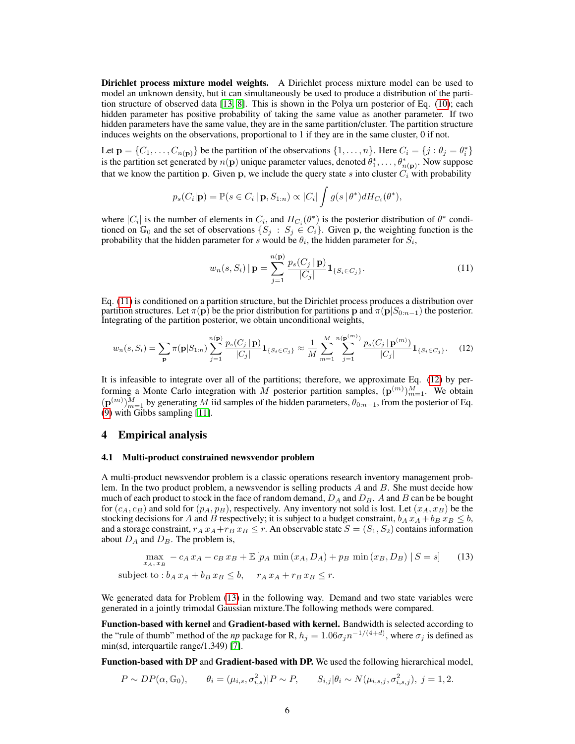Dirichlet process mixture model weights. A Dirichlet process mixture model can be used to model an unknown density, but it can simultaneously be used to produce a distribution of the partition structure of observed data [13, 8]. This is shown in the Polya urn posterior of Eq. (10); each hidden parameter has positive probability of taking the same value as another parameter. If two hidden parameters have the same value, they are in the same partition/cluster. The partition structure induces weights on the observations, proportional to 1 if they are in the same cluster, 0 if not.

Let  $\mathbf{p} = \{C_1, \ldots, C_{n(\mathbf{p})}\}\$  be the partition of the observations  $\{1, \ldots, n\}\$ . Here  $C_i = \{j : \theta_j = \theta_i^*\}$ is the partition set generated by  $n(\bf{p})$  unique parameter values, denoted  $\theta_1^*, \ldots, \theta_{n(\bf{p})}^*$ . Now suppose that we know the partition p. Given p, we include the query state s into cluster  $C_i$  with probability

$$
p_s(C_i|\mathbf{p}) = \mathbb{P}(s \in C_i | \mathbf{p}, S_{1:n}) \propto |C_i| \int g(s | \theta^*) dH_{C_i}(\theta^*),
$$

where  $|C_i|$  is the number of elements in  $C_i$ , and  $H_{C_i}(\theta^*)$  is the posterior distribution of  $\theta^*$  conditioned on  $\mathbb{G}_0$  and the set of observations  $\{S_j : S_j \in C_i\}$ . Given p, the weighting function is the probability that the hidden parameter for s would be  $\theta_i$ , the hidden parameter for  $S_i$ ,

$$
w_n(s, S_i) | \mathbf{p} = \sum_{j=1}^{n(\mathbf{p})} \frac{p_s(C_j | \mathbf{p})}{|C_j|} \mathbf{1}_{\{S_i \in C_j\}}.
$$
 (11)

Eq. (11) is conditioned on a partition structure, but the Dirichlet process produces a distribution over partition structures. Let  $\pi(p)$  be the prior distribution for partitions p and  $\pi(p|S_{0:n-1})$  the posterior. Integrating of the partition posterior, we obtain unconditional weights,

$$
w_n(s, S_i) = \sum_{\mathbf{p}} \pi(\mathbf{p}|S_{1:n}) \sum_{j=1}^{n(\mathbf{p})} \frac{p_s(C_j \mid \mathbf{p})}{|C_j|} \mathbf{1}_{\{S_i \in C_j\}} \approx \frac{1}{M} \sum_{m=1}^{M} \sum_{j=1}^{n(\mathbf{p}^{(m)})} \frac{p_s(C_j \mid \mathbf{p}^{(m)})}{|C_j|} \mathbf{1}_{\{S_i \in C_j\}}.
$$
 (12)

It is infeasible to integrate over all of the partitions; therefore, we approximate Eq. (12) by performing a Monte Carlo integration with M posterior partition samples,  $(\mathbf{p}^{(m)})_{m=1}^M$ . We obtain  $(p^{(m)})_{m=1}^M$  by generating M iid samples of the hidden parameters,  $\theta_{0:n-1}$ , from the posterior of Eq. (9) with Gibbs sampling [11].

#### 4 Empirical analysis

#### 4.1 Multi-product constrained newsvendor problem

A multi-product newsvendor problem is a classic operations research inventory management problem. In the two product problem, a newsvendor is selling products A and B. She must decide how much of each product to stock in the face of random demand,  $D_A$  and  $D_B$ . A and B can be be bought for  $(c_A, c_B)$  and sold for  $(p_A, p_B)$ , respectively. Any inventory not sold is lost. Let  $(x_A, x_B)$  be the stocking decisions for A and B respectively; it is subject to a budget constraint,  $b_A x_A + b_B x_B \leq b$ , and a storage constraint,  $r_A x_A + r_B x_B \leq r$ . An observable state  $S = (S_1, S_2)$  contains information about  $D_A$  and  $D_B$ . The problem is,

$$
\max_{x_A, x_B} -c_A x_A - c_B x_B + \mathbb{E}\left[p_A \min(x_A, D_A) + p_B \min(x_B, D_B) \mid S = s\right]
$$
 (13)  
subject to:  $b_A x_A + b_B x_B \le b$ ,  $r_A x_A + r_B x_B \le r$ .

We generated data for Problem (13) in the following way. Demand and two state variables were generated in a jointly trimodal Gaussian mixture.The following methods were compared.

Function-based with kernel and Gradient-based with kernel. Bandwidth is selected according to the "rule of thumb" method of the *np* package for R,  $h_j = 1.06\sigma_j n^{-1/(4+d)}$ , where  $\sigma_j$  is defined as min(sd, interquartile range/1.349) [7].

Function-based with DP and Gradient-based with DP. We used the following hierarchical model,

$$
P \sim DP(\alpha, \mathbb{G}_0), \qquad \theta_i = (\mu_{i,s}, \sigma_{i,s}^2) | P \sim P, \qquad S_{i,j} | \theta_i \sim N(\mu_{i,s,j}, \sigma_{i,s,j}^2), \ j = 1, 2.
$$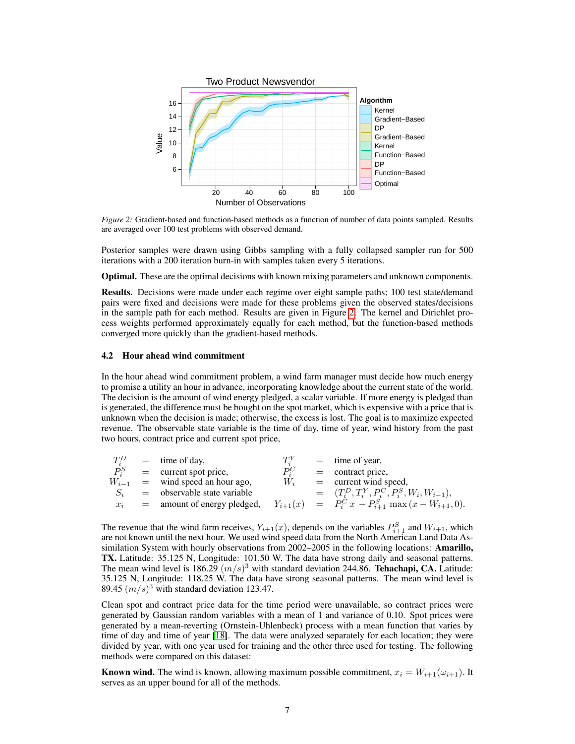

*Figure 2:* Gradient-based and function-based methods as a function of number of data points sampled. Results are averaged over 100 test problems with observed demand.

Posterior samples were drawn using Gibbs sampling with a fully collapsed sampler run for 500 iterations with a 200 iteration burn-in with samples taken every 5 iterations.

Optimal. These are the optimal decisions with known mixing parameters and unknown components.

Results. Decisions were made under each regime over eight sample paths; 100 test state/demand pairs were fixed and decisions were made for these problems given the observed states/decisions in the sample path for each method. Results are given in Figure 2. The kernel and Dirichlet process weights performed approximately equally for each method, but the function-based methods converged more quickly than the gradient-based methods.

#### 4.2 Hour ahead wind commitment

In the hour ahead wind commitment problem, a wind farm manager must decide how much energy to promise a utility an hour in advance, incorporating knowledge about the current state of the world. The decision is the amount of wind energy pledged, a scalar variable. If more energy is pledged than is generated, the difference must be bought on the spot market, which is expensive with a price that is unknown when the decision is made; otherwise, the excess is lost. The goal is to maximize expected revenue. The observable state variable is the time of day, time of year, wind history from the past two hours, contract price and current spot price,

| $T_i^D$ | $=$ time of day,                    | $T^Y$   | $=$ time of year,                                     |
|---------|-------------------------------------|---------|-------------------------------------------------------|
| $P_i^S$ | $=$ current spot price,             | $P_i^C$ | $=$ contract price,                                   |
|         | $W_{i-1}$ = wind speed an hour ago, | $W_i$   | $=$ current wind speed,                               |
| $S_i$   | $=$ observable state variable       |         | $=$ $(T_i^D, T_i^Y, P_i^C, P_i^S, W_i, W_{i-1}),$     |
| $x_i$   | $=$ amount of energy pledged,       |         | $Y_{i+1}(x) = P_i^C x - P_{i+1}^S \max(x-W_{i+1},0).$ |

The revenue that the wind farm receives,  $Y_{i+1}(x)$ , depends on the variables  $P_{i+1}^S$  and  $W_{i+1}$ , which are not known until the next hour. We used wind speed data from the North American Land Data Assimilation System with hourly observations from 2002–2005 in the following locations: Amarillo, TX. Latitude: 35.125 N, Longitude: 101.50 W. The data have strong daily and seasonal patterns. The mean wind level is 186.29  $(m/s)^3$  with standard deviation 244.86. Tehachapi, CA. Latitude: 35.125 N, Longitude: 118.25 W. The data have strong seasonal patterns. The mean wind level is 89.45  $(m/s)^3$  with standard deviation 123.47.

Clean spot and contract price data for the time period were unavailable, so contract prices were generated by Gaussian random variables with a mean of 1 and variance of 0.10. Spot prices were generated by a mean-reverting (Ornstein-Uhlenbeck) process with a mean function that varies by time of day and time of year [18]. The data were analyzed separately for each location; they were divided by year, with one year used for training and the other three used for testing. The following methods were compared on this dataset:

**Known wind.** The wind is known, allowing maximum possible commitment,  $x_i = W_{i+1}(\omega_{i+1})$ . It serves as an upper bound for all of the methods.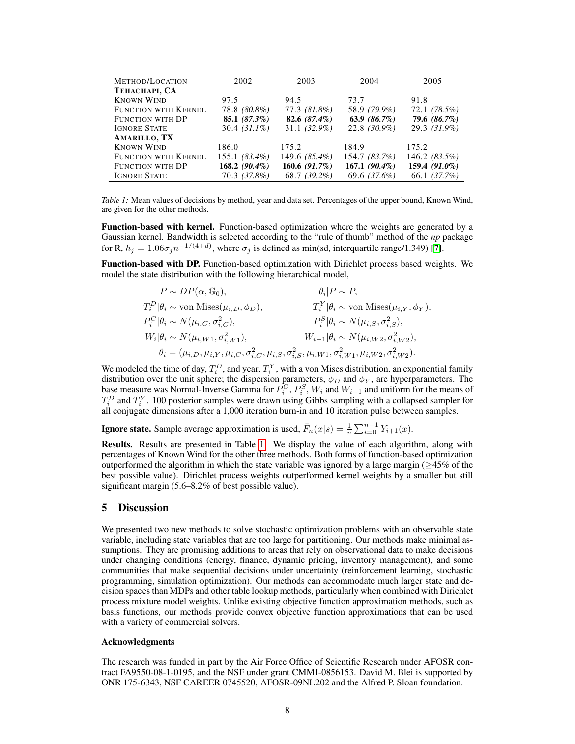| METHOD/LOCATION             | 2002            | 2003             | 2004            | 2005           |  |
|-----------------------------|-----------------|------------------|-----------------|----------------|--|
| ТЕНАСНАРІ, СА               |                 |                  |                 |                |  |
| <b>KNOWN WIND</b>           | 97.5            | 94.5             | 73.7            | 91.8           |  |
| <b>FUNCTION WITH KERNEL</b> | 78.8 (80.8%)    | 77.3 (81.8%)     | 58.9 (79.9%)    | 72.1 (78.5%)   |  |
| <b>FUNCTION WITH DP</b>     | 85.1 $(87.3\%)$ | 82.6 $(87.4\%)$  | 63.9 $(86.7\%)$ | 79.6 (86.7%)   |  |
| <b>IGNORE STATE</b>         | $30.4 (31.1\%)$ | $31.1(32.9\%)$   | 22.8 (30.9%)    | $29.3(31.9\%)$ |  |
| AMARILLO, TX                |                 |                  |                 |                |  |
| <b>KNOWN WIND</b>           | 186.0           | 175.2            | 184.9           | 175.2          |  |
| <b>FUNCTION WITH KERNEL</b> | 155.1 (83.4%)   | 149.6 (85.4%)    | 154.7 (83.7%)   | 146.2(83.5%)   |  |
| <b>FUNCTION WITH DP</b>     | $168.2(90.4\%)$ | 160.6 $(91.7\%)$ | $167.1(90.4\%)$ | 159.4 (91.0%)  |  |
| <b>IGNORE STATE</b>         | 70.3 (37.8%)    | 68.7 (39.2%)     | 69.6 (37.6%)    | 66.1 (37.7%)   |  |

*Table 1:* Mean values of decisions by method, year and data set. Percentages of the upper bound, Known Wind, are given for the other methods.

Function-based with kernel. Function-based optimization where the weights are generated by a Gaussian kernel. Bandwidth is selected according to the "rule of thumb" method of the *np* package for R,  $h_j = 1.06 \sigma_j n^{-1/(4+d)}$ , where  $\sigma_j$  is defined as min(sd, interquartile range/1.349) [7].

Function-based with DP. Function-based optimization with Dirichlet process based weights. We model the state distribution with the following hierarchical model,

| $P \sim DP(\alpha, \mathbb{G}_0),$                         | $\theta_i P\sim P$                                                                                                                                   |
|------------------------------------------------------------|------------------------------------------------------------------------------------------------------------------------------------------------------|
| $T_i^D \theta_i \sim \text{von Mises}(\mu_{i,D}, \phi_D),$ | $T_i^Y \theta_i \sim \text{von Mises}(\mu_{i,Y}, \phi_Y),$                                                                                           |
| $P_i^C \theta_i \sim N(\mu_{i,C}, \sigma_{i,C}^2),$        | $P_i^S \theta_i \sim N(\mu_{i,S}, \sigma_{i,S}^2),$                                                                                                  |
| $W_i \theta_i \sim N(\mu_{i,W1}, \sigma_{i,W1}^2),$        | $W_{i-1} \theta_i \sim N(\mu_{i,W2}, \sigma_{i,W2}^2),$                                                                                              |
|                                                            | $\theta_i = (\mu_{i,D}, \mu_{i,Y}, \mu_{i,C}, \sigma_{i,C}^2, \mu_{i,S}, \sigma_{i,S}^2, \mu_{i,W1}, \sigma_{i,W1}^2, \mu_{i,W2}, \sigma_{i,W2}^2).$ |

We modeled the time of day,  $T_i^D$ , and year,  $T_i^Y$ , with a von Mises distribution, an exponential family distribution over the unit sphere; the dispersion parameters,  $\phi_D$  and  $\phi_Y$ , are hyperparameters. The base measure was Normal-Inverse Gamma for  $P_i^C$ ,  $P_i^S$ ,  $W_i$  and  $W_{i-1}$  and uniform for the means of  $T_i^D$  and  $T_i^Y$ . 100 posterior samples were drawn using Gibbs sampling with a collapsed sampler for all conjugate dimensions after a 1,000 iteration burn-in and 10 iteration pulse between samples.

**Ignore state.** Sample average approximation is used,  $\bar{F}_n(x|s) = \frac{1}{n} \sum_{i=0}^{n-1} Y_{i+1}(x)$ .

Results. Results are presented in Table 1. We display the value of each algorithm, along with percentages of Known Wind for the other three methods. Both forms of function-based optimization outperformed the algorithm in which the state variable was ignored by a large margin ( $\geq$ 45% of the best possible value). Dirichlet process weights outperformed kernel weights by a smaller but still significant margin (5.6–8.2% of best possible value).

## 5 Discussion

We presented two new methods to solve stochastic optimization problems with an observable state variable, including state variables that are too large for partitioning. Our methods make minimal assumptions. They are promising additions to areas that rely on observational data to make decisions under changing conditions (energy, finance, dynamic pricing, inventory management), and some communities that make sequential decisions under uncertainty (reinforcement learning, stochastic programming, simulation optimization). Our methods can accommodate much larger state and decision spaces than MDPs and other table lookup methods, particularly when combined with Dirichlet process mixture model weights. Unlike existing objective function approximation methods, such as basis functions, our methods provide convex objective function approximations that can be used with a variety of commercial solvers.

#### Acknowledgments

The research was funded in part by the Air Force Office of Scientific Research under AFOSR contract FA9550-08-1-0195, and the NSF under grant CMMI-0856153. David M. Blei is supported by ONR 175-6343, NSF CAREER 0745520, AFOSR-09NL202 and the Alfred P. Sloan foundation.